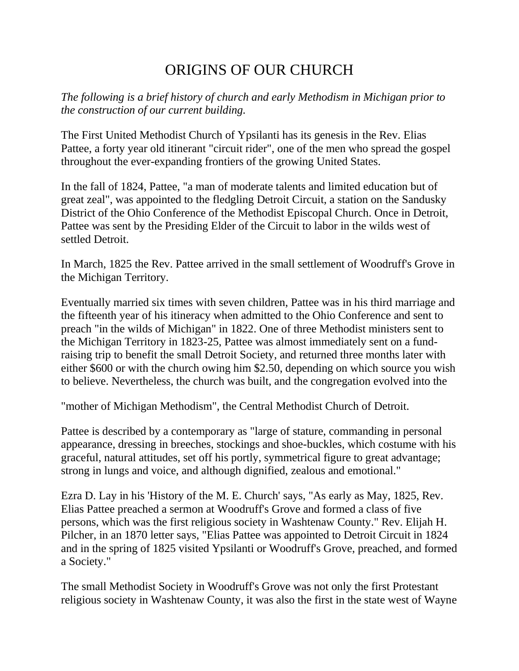## ORIGINS OF OUR CHURCH

*The following is a brief history of church and early Methodism in Michigan prior to the construction of our current building.*

The First United Methodist Church of Ypsilanti has its genesis in the Rev. Elias Pattee, a forty year old itinerant "circuit rider", one of the men who spread the gospel throughout the ever-expanding frontiers of the growing United States.

In the fall of 1824, Pattee, "a man of moderate talents and limited education but of great zeal", was appointed to the fledgling Detroit Circuit, a station on the Sandusky District of the Ohio Conference of the Methodist Episcopal Church. Once in Detroit, Pattee was sent by the Presiding Elder of the Circuit to labor in the wilds west of settled Detroit.

In March, 1825 the Rev. Pattee arrived in the small settlement of Woodruff's Grove in the Michigan Territory.

Eventually married six times with seven children, Pattee was in his third marriage and the fifteenth year of his itineracy when admitted to the Ohio Conference and sent to preach "in the wilds of Michigan" in 1822. One of three Methodist ministers sent to the Michigan Territory in 1823-25, Pattee was almost immediately sent on a fundraising trip to benefit the small Detroit Society, and returned three months later with either \$600 or with the church owing him \$2.50, depending on which source you wish to believe. Nevertheless, the church was built, and the congregation evolved into the

"mother of Michigan Methodism", the Central Methodist Church of Detroit.

Pattee is described by a contemporary as "large of stature, commanding in personal appearance, dressing in breeches, stockings and shoe-buckles, which costume with his graceful, natural attitudes, set off his portly, symmetrical figure to great advantage; strong in lungs and voice, and although dignified, zealous and emotional."

Ezra D. Lay in his 'History of the M. E. Church' says, "As early as May, 1825, Rev. Elias Pattee preached a sermon at Woodruff's Grove and formed a class of five persons, which was the first religious society in Washtenaw County." Rev. Elijah H. Pilcher, in an 1870 letter says, "Elias Pattee was appointed to Detroit Circuit in 1824 and in the spring of 1825 visited Ypsilanti or Woodruff's Grove, preached, and formed a Society."

The small Methodist Society in Woodruff's Grove was not only the first Protestant religious society in Washtenaw County, it was also the first in the state west of Wayne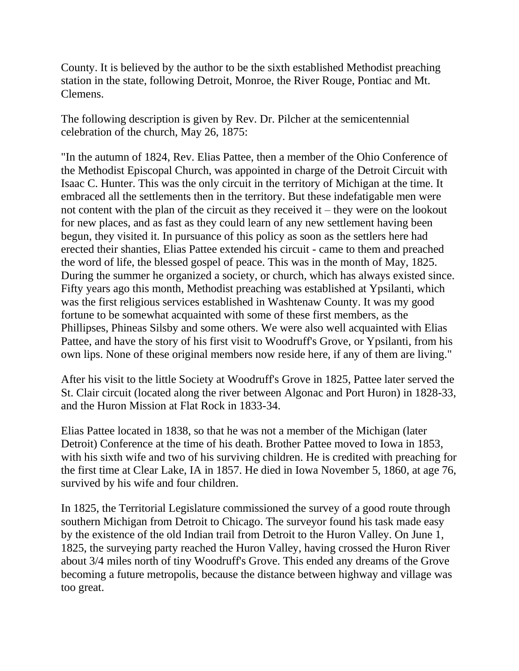County. It is believed by the author to be the sixth established Methodist preaching station in the state, following Detroit, Monroe, the River Rouge, Pontiac and Mt. Clemens.

The following description is given by Rev. Dr. Pilcher at the semicentennial celebration of the church, May 26, 1875:

"In the autumn of 1824, Rev. Elias Pattee, then a member of the Ohio Conference of the Methodist Episcopal Church, was appointed in charge of the Detroit Circuit with Isaac C. Hunter. This was the only circuit in the territory of Michigan at the time. It embraced all the settlements then in the territory. But these indefatigable men were not content with the plan of the circuit as they received it – they were on the lookout for new places, and as fast as they could learn of any new settlement having been begun, they visited it. In pursuance of this policy as soon as the settlers here had erected their shanties, Elias Pattee extended his circuit - came to them and preached the word of life, the blessed gospel of peace. This was in the month of May, 1825. During the summer he organized a society, or church, which has always existed since. Fifty years ago this month, Methodist preaching was established at Ypsilanti, which was the first religious services established in Washtenaw County. It was my good fortune to be somewhat acquainted with some of these first members, as the Phillipses, Phineas Silsby and some others. We were also well acquainted with Elias Pattee, and have the story of his first visit to Woodruff's Grove, or Ypsilanti, from his own lips. None of these original members now reside here, if any of them are living."

After his visit to the little Society at Woodruff's Grove in 1825, Pattee later served the St. Clair circuit (located along the river between Algonac and Port Huron) in 1828-33, and the Huron Mission at Flat Rock in 1833-34.

Elias Pattee located in 1838, so that he was not a member of the Michigan (later Detroit) Conference at the time of his death. Brother Pattee moved to Iowa in 1853, with his sixth wife and two of his surviving children. He is credited with preaching for the first time at Clear Lake, IA in 1857. He died in Iowa November 5, 1860, at age 76, survived by his wife and four children.

In 1825, the Territorial Legislature commissioned the survey of a good route through southern Michigan from Detroit to Chicago. The surveyor found his task made easy by the existence of the old Indian trail from Detroit to the Huron Valley. On June 1, 1825, the surveying party reached the Huron Valley, having crossed the Huron River about 3/4 miles north of tiny Woodruff's Grove. This ended any dreams of the Grove becoming a future metropolis, because the distance between highway and village was too great.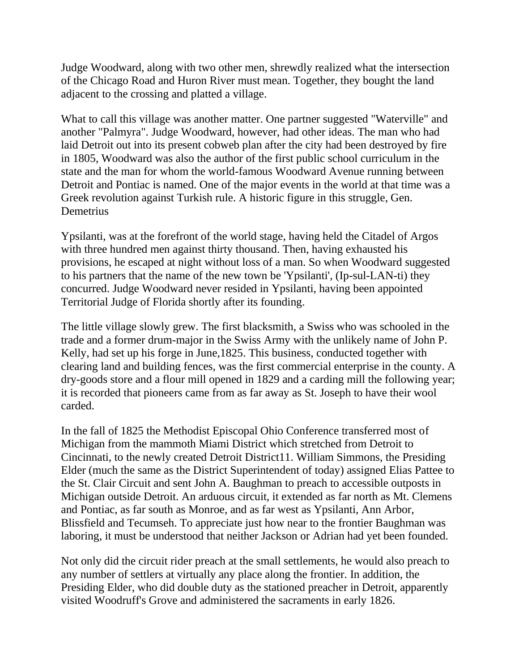Judge Woodward, along with two other men, shrewdly realized what the intersection of the Chicago Road and Huron River must mean. Together, they bought the land adjacent to the crossing and platted a village.

What to call this village was another matter. One partner suggested "Waterville" and another "Palmyra". Judge Woodward, however, had other ideas. The man who had laid Detroit out into its present cobweb plan after the city had been destroyed by fire in 1805, Woodward was also the author of the first public school curriculum in the state and the man for whom the world-famous Woodward Avenue running between Detroit and Pontiac is named. One of the major events in the world at that time was a Greek revolution against Turkish rule. A historic figure in this struggle, Gen. **Demetrius** 

Ypsilanti, was at the forefront of the world stage, having held the Citadel of Argos with three hundred men against thirty thousand. Then, having exhausted his provisions, he escaped at night without loss of a man. So when Woodward suggested to his partners that the name of the new town be 'Ypsilanti', (Ip-sul-LAN-ti) they concurred. Judge Woodward never resided in Ypsilanti, having been appointed Territorial Judge of Florida shortly after its founding.

The little village slowly grew. The first blacksmith, a Swiss who was schooled in the trade and a former drum-major in the Swiss Army with the unlikely name of John P. Kelly, had set up his forge in June,1825. This business, conducted together with clearing land and building fences, was the first commercial enterprise in the county. A dry-goods store and a flour mill opened in 1829 and a carding mill the following year; it is recorded that pioneers came from as far away as St. Joseph to have their wool carded.

In the fall of 1825 the Methodist Episcopal Ohio Conference transferred most of Michigan from the mammoth Miami District which stretched from Detroit to Cincinnati, to the newly created Detroit District11. William Simmons, the Presiding Elder (much the same as the District Superintendent of today) assigned Elias Pattee to the St. Clair Circuit and sent John A. Baughman to preach to accessible outposts in Michigan outside Detroit. An arduous circuit, it extended as far north as Mt. Clemens and Pontiac, as far south as Monroe, and as far west as Ypsilanti, Ann Arbor, Blissfield and Tecumseh. To appreciate just how near to the frontier Baughman was laboring, it must be understood that neither Jackson or Adrian had yet been founded.

Not only did the circuit rider preach at the small settlements, he would also preach to any number of settlers at virtually any place along the frontier. In addition, the Presiding Elder, who did double duty as the stationed preacher in Detroit, apparently visited Woodruff's Grove and administered the sacraments in early 1826.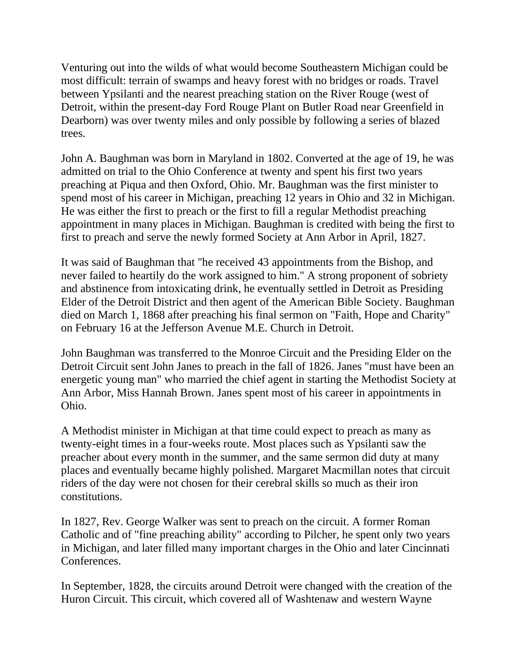Venturing out into the wilds of what would become Southeastern Michigan could be most difficult: terrain of swamps and heavy forest with no bridges or roads. Travel between Ypsilanti and the nearest preaching station on the River Rouge (west of Detroit, within the present-day Ford Rouge Plant on Butler Road near Greenfield in Dearborn) was over twenty miles and only possible by following a series of blazed trees.

John A. Baughman was born in Maryland in 1802. Converted at the age of 19, he was admitted on trial to the Ohio Conference at twenty and spent his first two years preaching at Piqua and then Oxford, Ohio. Mr. Baughman was the first minister to spend most of his career in Michigan, preaching 12 years in Ohio and 32 in Michigan. He was either the first to preach or the first to fill a regular Methodist preaching appointment in many places in Michigan. Baughman is credited with being the first to first to preach and serve the newly formed Society at Ann Arbor in April, 1827.

It was said of Baughman that "he received 43 appointments from the Bishop, and never failed to heartily do the work assigned to him." A strong proponent of sobriety and abstinence from intoxicating drink, he eventually settled in Detroit as Presiding Elder of the Detroit District and then agent of the American Bible Society. Baughman died on March 1, 1868 after preaching his final sermon on "Faith, Hope and Charity" on February 16 at the Jefferson Avenue M.E. Church in Detroit.

John Baughman was transferred to the Monroe Circuit and the Presiding Elder on the Detroit Circuit sent John Janes to preach in the fall of 1826. Janes "must have been an energetic young man" who married the chief agent in starting the Methodist Society at Ann Arbor, Miss Hannah Brown. Janes spent most of his career in appointments in Ohio.

A Methodist minister in Michigan at that time could expect to preach as many as twenty-eight times in a four-weeks route. Most places such as Ypsilanti saw the preacher about every month in the summer, and the same sermon did duty at many places and eventually became highly polished. Margaret Macmillan notes that circuit riders of the day were not chosen for their cerebral skills so much as their iron constitutions.

In 1827, Rev. George Walker was sent to preach on the circuit. A former Roman Catholic and of "fine preaching ability" according to Pilcher, he spent only two years in Michigan, and later filled many important charges in the Ohio and later Cincinnati Conferences.

In September, 1828, the circuits around Detroit were changed with the creation of the Huron Circuit. This circuit, which covered all of Washtenaw and western Wayne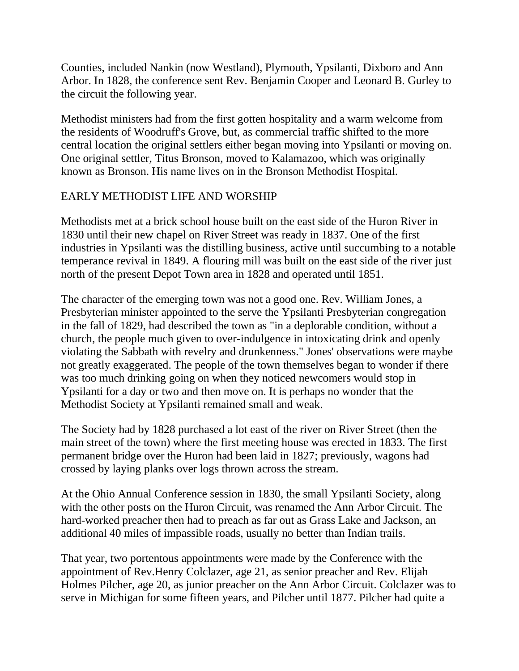Counties, included Nankin (now Westland), Plymouth, Ypsilanti, Dixboro and Ann Arbor. In 1828, the conference sent Rev. Benjamin Cooper and Leonard B. Gurley to the circuit the following year.

Methodist ministers had from the first gotten hospitality and a warm welcome from the residents of Woodruff's Grove, but, as commercial traffic shifted to the more central location the original settlers either began moving into Ypsilanti or moving on. One original settler, Titus Bronson, moved to Kalamazoo, which was originally known as Bronson. His name lives on in the Bronson Methodist Hospital.

## EARLY METHODIST LIFE AND WORSHIP

Methodists met at a brick school house built on the east side of the Huron River in 1830 until their new chapel on River Street was ready in 1837. One of the first industries in Ypsilanti was the distilling business, active until succumbing to a notable temperance revival in 1849. A flouring mill was built on the east side of the river just north of the present Depot Town area in 1828 and operated until 1851.

The character of the emerging town was not a good one. Rev. William Jones, a Presbyterian minister appointed to the serve the Ypsilanti Presbyterian congregation in the fall of 1829, had described the town as "in a deplorable condition, without a church, the people much given to over-indulgence in intoxicating drink and openly violating the Sabbath with revelry and drunkenness." Jones' observations were maybe not greatly exaggerated. The people of the town themselves began to wonder if there was too much drinking going on when they noticed newcomers would stop in Ypsilanti for a day or two and then move on. It is perhaps no wonder that the Methodist Society at Ypsilanti remained small and weak.

The Society had by 1828 purchased a lot east of the river on River Street (then the main street of the town) where the first meeting house was erected in 1833. The first permanent bridge over the Huron had been laid in 1827; previously, wagons had crossed by laying planks over logs thrown across the stream.

At the Ohio Annual Conference session in 1830, the small Ypsilanti Society, along with the other posts on the Huron Circuit, was renamed the Ann Arbor Circuit. The hard-worked preacher then had to preach as far out as Grass Lake and Jackson, an additional 40 miles of impassible roads, usually no better than Indian trails.

That year, two portentous appointments were made by the Conference with the appointment of Rev.Henry Colclazer, age 21, as senior preacher and Rev. Elijah Holmes Pilcher, age 20, as junior preacher on the Ann Arbor Circuit. Colclazer was to serve in Michigan for some fifteen years, and Pilcher until 1877. Pilcher had quite a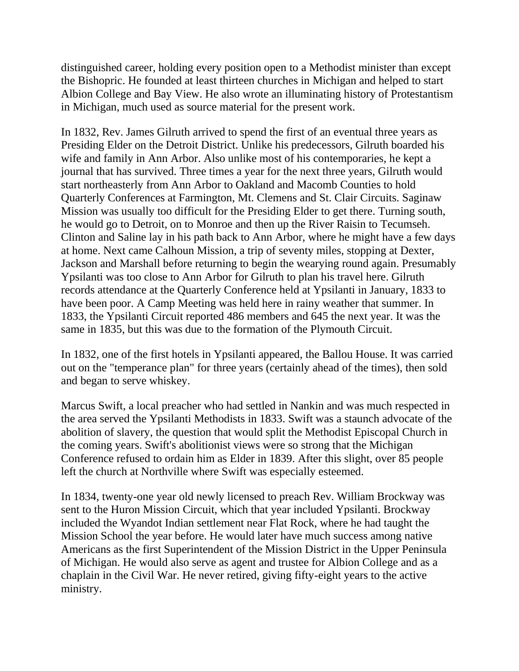distinguished career, holding every position open to a Methodist minister than except the Bishopric. He founded at least thirteen churches in Michigan and helped to start Albion College and Bay View. He also wrote an illuminating history of Protestantism in Michigan, much used as source material for the present work.

In 1832, Rev. James Gilruth arrived to spend the first of an eventual three years as Presiding Elder on the Detroit District. Unlike his predecessors, Gilruth boarded his wife and family in Ann Arbor. Also unlike most of his contemporaries, he kept a journal that has survived. Three times a year for the next three years, Gilruth would start northeasterly from Ann Arbor to Oakland and Macomb Counties to hold Quarterly Conferences at Farmington, Mt. Clemens and St. Clair Circuits. Saginaw Mission was usually too difficult for the Presiding Elder to get there. Turning south, he would go to Detroit, on to Monroe and then up the River Raisin to Tecumseh. Clinton and Saline lay in his path back to Ann Arbor, where he might have a few days at home. Next came Calhoun Mission, a trip of seventy miles, stopping at Dexter, Jackson and Marshall before returning to begin the wearying round again. Presumably Ypsilanti was too close to Ann Arbor for Gilruth to plan his travel here. Gilruth records attendance at the Quarterly Conference held at Ypsilanti in January, 1833 to have been poor. A Camp Meeting was held here in rainy weather that summer. In 1833, the Ypsilanti Circuit reported 486 members and 645 the next year. It was the same in 1835, but this was due to the formation of the Plymouth Circuit.

In 1832, one of the first hotels in Ypsilanti appeared, the Ballou House. It was carried out on the "temperance plan" for three years (certainly ahead of the times), then sold and began to serve whiskey.

Marcus Swift, a local preacher who had settled in Nankin and was much respected in the area served the Ypsilanti Methodists in 1833. Swift was a staunch advocate of the abolition of slavery, the question that would split the Methodist Episcopal Church in the coming years. Swift's abolitionist views were so strong that the Michigan Conference refused to ordain him as Elder in 1839. After this slight, over 85 people left the church at Northville where Swift was especially esteemed.

In 1834, twenty-one year old newly licensed to preach Rev. William Brockway was sent to the Huron Mission Circuit, which that year included Ypsilanti. Brockway included the Wyandot Indian settlement near Flat Rock, where he had taught the Mission School the year before. He would later have much success among native Americans as the first Superintendent of the Mission District in the Upper Peninsula of Michigan. He would also serve as agent and trustee for Albion College and as a chaplain in the Civil War. He never retired, giving fifty-eight years to the active ministry.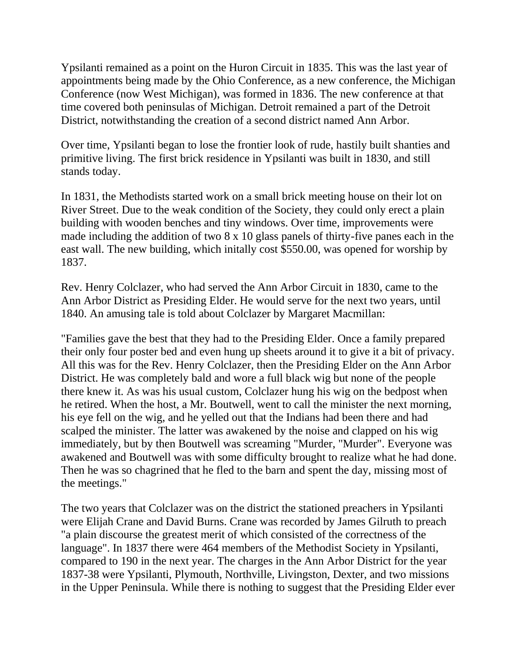Ypsilanti remained as a point on the Huron Circuit in 1835. This was the last year of appointments being made by the Ohio Conference, as a new conference, the Michigan Conference (now West Michigan), was formed in 1836. The new conference at that time covered both peninsulas of Michigan. Detroit remained a part of the Detroit District, notwithstanding the creation of a second district named Ann Arbor.

Over time, Ypsilanti began to lose the frontier look of rude, hastily built shanties and primitive living. The first brick residence in Ypsilanti was built in 1830, and still stands today.

In 1831, the Methodists started work on a small brick meeting house on their lot on River Street. Due to the weak condition of the Society, they could only erect a plain building with wooden benches and tiny windows. Over time, improvements were made including the addition of two 8 x 10 glass panels of thirty-five panes each in the east wall. The new building, which initally cost \$550.00, was opened for worship by 1837.

Rev. Henry Colclazer, who had served the Ann Arbor Circuit in 1830, came to the Ann Arbor District as Presiding Elder. He would serve for the next two years, until 1840. An amusing tale is told about Colclazer by Margaret Macmillan:

"Families gave the best that they had to the Presiding Elder. Once a family prepared their only four poster bed and even hung up sheets around it to give it a bit of privacy. All this was for the Rev. Henry Colclazer, then the Presiding Elder on the Ann Arbor District. He was completely bald and wore a full black wig but none of the people there knew it. As was his usual custom, Colclazer hung his wig on the bedpost when he retired. When the host, a Mr. Boutwell, went to call the minister the next morning, his eye fell on the wig, and he yelled out that the Indians had been there and had scalped the minister. The latter was awakened by the noise and clapped on his wig immediately, but by then Boutwell was screaming "Murder, "Murder". Everyone was awakened and Boutwell was with some difficulty brought to realize what he had done. Then he was so chagrined that he fled to the barn and spent the day, missing most of the meetings."

The two years that Colclazer was on the district the stationed preachers in Ypsilanti were Elijah Crane and David Burns. Crane was recorded by James Gilruth to preach "a plain discourse the greatest merit of which consisted of the correctness of the language". In 1837 there were 464 members of the Methodist Society in Ypsilanti, compared to 190 in the next year. The charges in the Ann Arbor District for the year 1837-38 were Ypsilanti, Plymouth, Northville, Livingston, Dexter, and two missions in the Upper Peninsula. While there is nothing to suggest that the Presiding Elder ever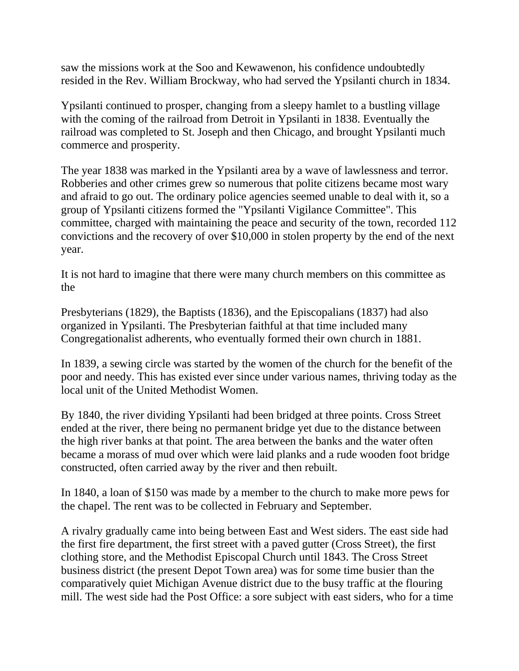saw the missions work at the Soo and Kewawenon, his confidence undoubtedly resided in the Rev. William Brockway, who had served the Ypsilanti church in 1834.

Ypsilanti continued to prosper, changing from a sleepy hamlet to a bustling village with the coming of the railroad from Detroit in Ypsilanti in 1838. Eventually the railroad was completed to St. Joseph and then Chicago, and brought Ypsilanti much commerce and prosperity.

The year 1838 was marked in the Ypsilanti area by a wave of lawlessness and terror. Robberies and other crimes grew so numerous that polite citizens became most wary and afraid to go out. The ordinary police agencies seemed unable to deal with it, so a group of Ypsilanti citizens formed the "Ypsilanti Vigilance Committee". This committee, charged with maintaining the peace and security of the town, recorded 112 convictions and the recovery of over \$10,000 in stolen property by the end of the next year.

It is not hard to imagine that there were many church members on this committee as the

Presbyterians (1829), the Baptists (1836), and the Episcopalians (1837) had also organized in Ypsilanti. The Presbyterian faithful at that time included many Congregationalist adherents, who eventually formed their own church in 1881.

In 1839, a sewing circle was started by the women of the church for the benefit of the poor and needy. This has existed ever since under various names, thriving today as the local unit of the United Methodist Women.

By 1840, the river dividing Ypsilanti had been bridged at three points. Cross Street ended at the river, there being no permanent bridge yet due to the distance between the high river banks at that point. The area between the banks and the water often became a morass of mud over which were laid planks and a rude wooden foot bridge constructed, often carried away by the river and then rebuilt.

In 1840, a loan of \$150 was made by a member to the church to make more pews for the chapel. The rent was to be collected in February and September.

A rivalry gradually came into being between East and West siders. The east side had the first fire department, the first street with a paved gutter (Cross Street), the first clothing store, and the Methodist Episcopal Church until 1843. The Cross Street business district (the present Depot Town area) was for some time busier than the comparatively quiet Michigan Avenue district due to the busy traffic at the flouring mill. The west side had the Post Office: a sore subject with east siders, who for a time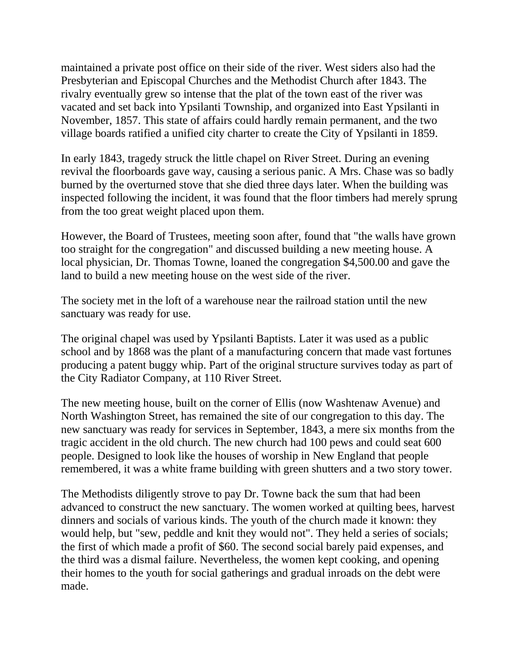maintained a private post office on their side of the river. West siders also had the Presbyterian and Episcopal Churches and the Methodist Church after 1843. The rivalry eventually grew so intense that the plat of the town east of the river was vacated and set back into Ypsilanti Township, and organized into East Ypsilanti in November, 1857. This state of affairs could hardly remain permanent, and the two village boards ratified a unified city charter to create the City of Ypsilanti in 1859.

In early 1843, tragedy struck the little chapel on River Street. During an evening revival the floorboards gave way, causing a serious panic. A Mrs. Chase was so badly burned by the overturned stove that she died three days later. When the building was inspected following the incident, it was found that the floor timbers had merely sprung from the too great weight placed upon them.

However, the Board of Trustees, meeting soon after, found that "the walls have grown too straight for the congregation" and discussed building a new meeting house. A local physician, Dr. Thomas Towne, loaned the congregation \$4,500.00 and gave the land to build a new meeting house on the west side of the river.

The society met in the loft of a warehouse near the railroad station until the new sanctuary was ready for use.

The original chapel was used by Ypsilanti Baptists. Later it was used as a public school and by 1868 was the plant of a manufacturing concern that made vast fortunes producing a patent buggy whip. Part of the original structure survives today as part of the City Radiator Company, at 110 River Street.

The new meeting house, built on the corner of Ellis (now Washtenaw Avenue) and North Washington Street, has remained the site of our congregation to this day. The new sanctuary was ready for services in September, 1843, a mere six months from the tragic accident in the old church. The new church had 100 pews and could seat 600 people. Designed to look like the houses of worship in New England that people remembered, it was a white frame building with green shutters and a two story tower.

The Methodists diligently strove to pay Dr. Towne back the sum that had been advanced to construct the new sanctuary. The women worked at quilting bees, harvest dinners and socials of various kinds. The youth of the church made it known: they would help, but "sew, peddle and knit they would not". They held a series of socials; the first of which made a profit of \$60. The second social barely paid expenses, and the third was a dismal failure. Nevertheless, the women kept cooking, and opening their homes to the youth for social gatherings and gradual inroads on the debt were made.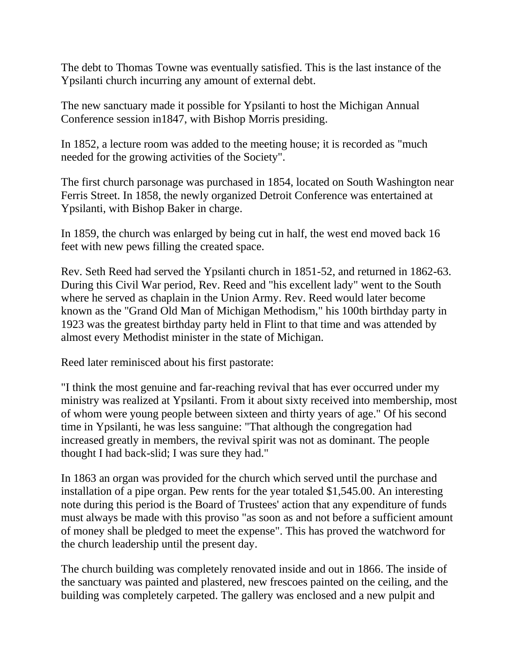The debt to Thomas Towne was eventually satisfied. This is the last instance of the Ypsilanti church incurring any amount of external debt.

The new sanctuary made it possible for Ypsilanti to host the Michigan Annual Conference session in1847, with Bishop Morris presiding.

In 1852, a lecture room was added to the meeting house; it is recorded as "much needed for the growing activities of the Society".

The first church parsonage was purchased in 1854, located on South Washington near Ferris Street. In 1858, the newly organized Detroit Conference was entertained at Ypsilanti, with Bishop Baker in charge.

In 1859, the church was enlarged by being cut in half, the west end moved back 16 feet with new pews filling the created space.

Rev. Seth Reed had served the Ypsilanti church in 1851-52, and returned in 1862-63. During this Civil War period, Rev. Reed and "his excellent lady" went to the South where he served as chaplain in the Union Army. Rev. Reed would later become known as the "Grand Old Man of Michigan Methodism," his 100th birthday party in 1923 was the greatest birthday party held in Flint to that time and was attended by almost every Methodist minister in the state of Michigan.

Reed later reminisced about his first pastorate:

"I think the most genuine and far-reaching revival that has ever occurred under my ministry was realized at Ypsilanti. From it about sixty received into membership, most of whom were young people between sixteen and thirty years of age." Of his second time in Ypsilanti, he was less sanguine: "That although the congregation had increased greatly in members, the revival spirit was not as dominant. The people thought I had back-slid; I was sure they had."

In 1863 an organ was provided for the church which served until the purchase and installation of a pipe organ. Pew rents for the year totaled \$1,545.00. An interesting note during this period is the Board of Trustees' action that any expenditure of funds must always be made with this proviso "as soon as and not before a sufficient amount of money shall be pledged to meet the expense". This has proved the watchword for the church leadership until the present day.

The church building was completely renovated inside and out in 1866. The inside of the sanctuary was painted and plastered, new frescoes painted on the ceiling, and the building was completely carpeted. The gallery was enclosed and a new pulpit and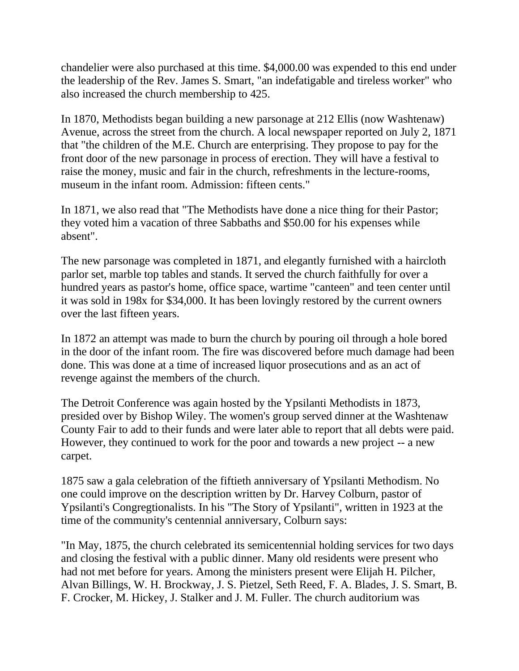chandelier were also purchased at this time. \$4,000.00 was expended to this end under the leadership of the Rev. James S. Smart, "an indefatigable and tireless worker" who also increased the church membership to 425.

In 1870, Methodists began building a new parsonage at 212 Ellis (now Washtenaw) Avenue, across the street from the church. A local newspaper reported on July 2, 1871 that "the children of the M.E. Church are enterprising. They propose to pay for the front door of the new parsonage in process of erection. They will have a festival to raise the money, music and fair in the church, refreshments in the lecture-rooms, museum in the infant room. Admission: fifteen cents."

In 1871, we also read that "The Methodists have done a nice thing for their Pastor; they voted him a vacation of three Sabbaths and \$50.00 for his expenses while absent".

The new parsonage was completed in 1871, and elegantly furnished with a haircloth parlor set, marble top tables and stands. It served the church faithfully for over a hundred years as pastor's home, office space, wartime "canteen" and teen center until it was sold in 198x for \$34,000. It has been lovingly restored by the current owners over the last fifteen years.

In 1872 an attempt was made to burn the church by pouring oil through a hole bored in the door of the infant room. The fire was discovered before much damage had been done. This was done at a time of increased liquor prosecutions and as an act of revenge against the members of the church.

The Detroit Conference was again hosted by the Ypsilanti Methodists in 1873, presided over by Bishop Wiley. The women's group served dinner at the Washtenaw County Fair to add to their funds and were later able to report that all debts were paid. However, they continued to work for the poor and towards a new project -- a new carpet.

1875 saw a gala celebration of the fiftieth anniversary of Ypsilanti Methodism. No one could improve on the description written by Dr. Harvey Colburn, pastor of Ypsilanti's Congregtionalists. In his "The Story of Ypsilanti", written in 1923 at the time of the community's centennial anniversary, Colburn says:

"In May, 1875, the church celebrated its semicentennial holding services for two days and closing the festival with a public dinner. Many old residents were present who had not met before for years. Among the ministers present were Elijah H. Pilcher, Alvan Billings, W. H. Brockway, J. S. Pietzel, Seth Reed, F. A. Blades, J. S. Smart, B. F. Crocker, M. Hickey, J. Stalker and J. M. Fuller. The church auditorium was